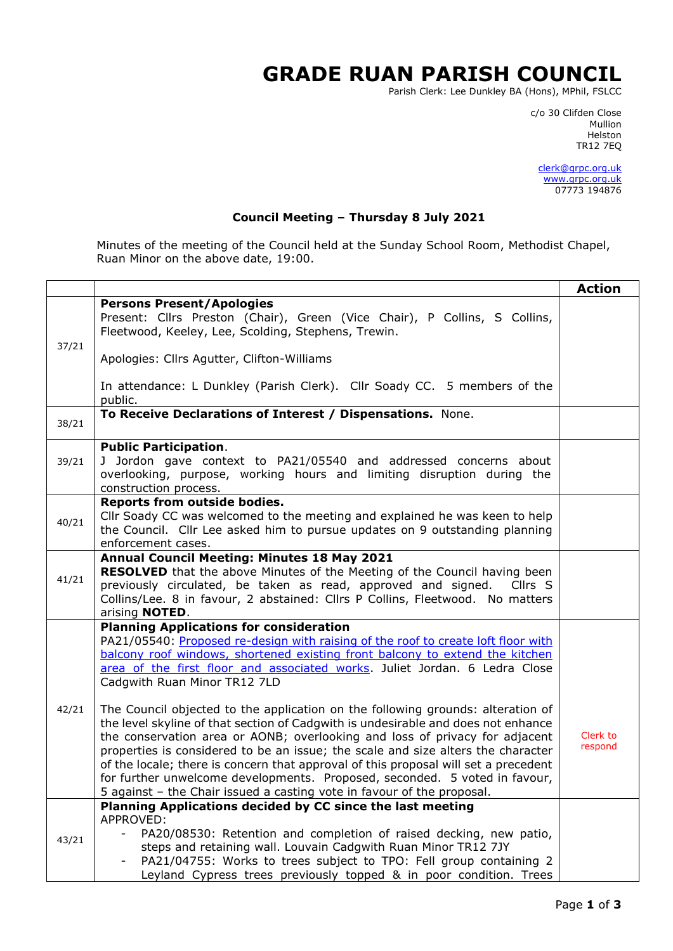## **GRADE RUAN PARISH COUNCIL**

Parish Clerk: Lee Dunkley BA (Hons), MPhil, FSLCC

c/o 30 Clifden Close man and the control of the control of the control of the control of the control of the control of the control o Helston TR12 7EQ

> [clerk@grpc.org.uk](mailto:clerk@grpc.org.uk) [www.grpc.org.uk](http://www.grpc.org.uk/) 07773 194876

## **Council Meeting – Thursday 8 July 2021**

Minutes of the meeting of the Council held at the Sunday School Room, Methodist Chapel, Ruan Minor on the above date, 19:00.

|       |                                                                                                                                                                                                                                                                                                                                                                                                                                                                                                                                                                                        | <b>Action</b>       |
|-------|----------------------------------------------------------------------------------------------------------------------------------------------------------------------------------------------------------------------------------------------------------------------------------------------------------------------------------------------------------------------------------------------------------------------------------------------------------------------------------------------------------------------------------------------------------------------------------------|---------------------|
| 37/21 | <b>Persons Present/Apologies</b><br>Present: Cllrs Preston (Chair), Green (Vice Chair), P Collins, S Collins,<br>Fleetwood, Keeley, Lee, Scolding, Stephens, Trewin.                                                                                                                                                                                                                                                                                                                                                                                                                   |                     |
|       | Apologies: Cllrs Agutter, Clifton-Williams                                                                                                                                                                                                                                                                                                                                                                                                                                                                                                                                             |                     |
|       | In attendance: L Dunkley (Parish Clerk). Cllr Soady CC. 5 members of the<br>public.                                                                                                                                                                                                                                                                                                                                                                                                                                                                                                    |                     |
| 38/21 | To Receive Declarations of Interest / Dispensations. None.                                                                                                                                                                                                                                                                                                                                                                                                                                                                                                                             |                     |
| 39/21 | <b>Public Participation.</b><br>J Jordon gave context to PA21/05540 and addressed concerns about<br>overlooking, purpose, working hours and limiting disruption during the<br>construction process.                                                                                                                                                                                                                                                                                                                                                                                    |                     |
| 40/21 | <b>Reports from outside bodies.</b><br>Cllr Soady CC was welcomed to the meeting and explained he was keen to help<br>the Council. Cllr Lee asked him to pursue updates on 9 outstanding planning<br>enforcement cases.                                                                                                                                                                                                                                                                                                                                                                |                     |
| 41/21 | Annual Council Meeting: Minutes 18 May 2021<br><b>RESOLVED</b> that the above Minutes of the Meeting of the Council having been<br>previously circulated, be taken as read, approved and signed. Cllrs S<br>Collins/Lee. 8 in favour, 2 abstained: Cllrs P Collins, Fleetwood. No matters<br>arising <b>NOTED</b> .                                                                                                                                                                                                                                                                    |                     |
|       | <b>Planning Applications for consideration</b><br>PA21/05540: Proposed re-design with raising of the roof to create loft floor with<br>balcony roof windows, shortened existing front balcony to extend the kitchen<br>area of the first floor and associated works. Juliet Jordan. 6 Ledra Close<br>Cadgwith Ruan Minor TR12 7LD                                                                                                                                                                                                                                                      |                     |
| 42/21 | The Council objected to the application on the following grounds: alteration of<br>the level skyline of that section of Cadgwith is undesirable and does not enhance<br>the conservation area or AONB; overlooking and loss of privacy for adjacent<br>properties is considered to be an issue; the scale and size alters the character<br>of the locale; there is concern that approval of this proposal will set a precedent<br>for further unwelcome developments. Proposed, seconded. 5 voted in favour,<br>5 against - the Chair issued a casting vote in favour of the proposal. | Clerk to<br>respond |
| 43/21 | Planning Applications decided by CC since the last meeting<br>APPROVED:                                                                                                                                                                                                                                                                                                                                                                                                                                                                                                                |                     |
|       | PA20/08530: Retention and completion of raised decking, new patio,<br>steps and retaining wall. Louvain Cadgwith Ruan Minor TR12 7JY<br>PA21/04755: Works to trees subject to TPO: Fell group containing 2                                                                                                                                                                                                                                                                                                                                                                             |                     |
|       | Leyland Cypress trees previously topped & in poor condition. Trees                                                                                                                                                                                                                                                                                                                                                                                                                                                                                                                     |                     |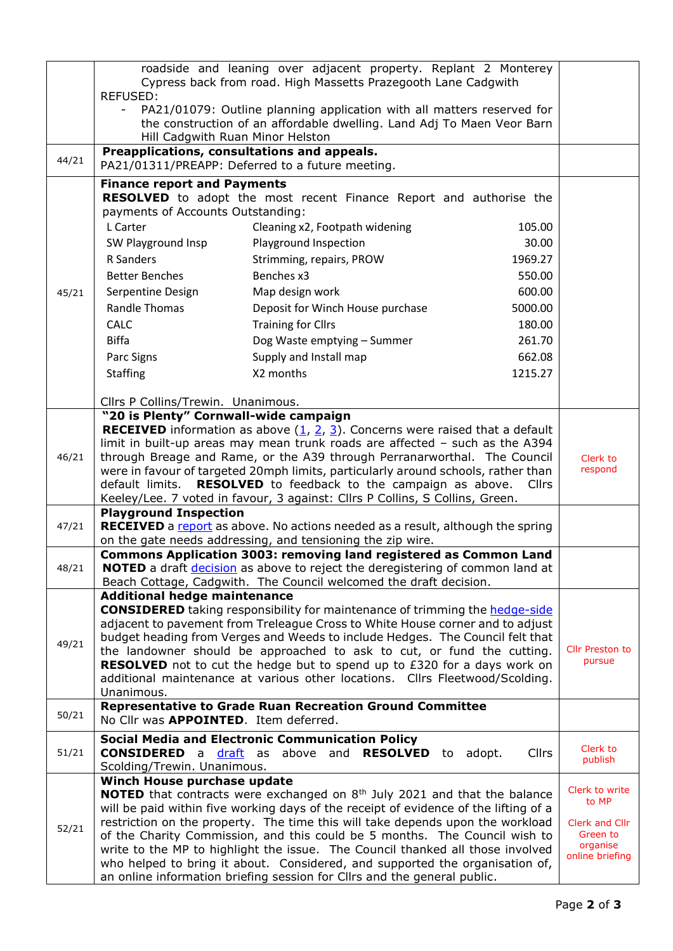|       | roadside and leaning over adjacent property. Replant 2 Monterey<br>Cypress back from road. High Massetts Prazegooth Lane Cadgwith                              |              |                            |
|-------|----------------------------------------------------------------------------------------------------------------------------------------------------------------|--------------|----------------------------|
|       | <b>REFUSED:</b><br>PA21/01079: Outline planning application with all matters reserved for<br>$\overline{\phantom{a}}$                                          |              |                            |
|       | the construction of an affordable dwelling. Land Adj To Maen Veor Barn                                                                                         |              |                            |
|       | Hill Cadgwith Ruan Minor Helston                                                                                                                               |              |                            |
| 44/21 | Preapplications, consultations and appeals.<br>PA21/01311/PREAPP: Deferred to a future meeting.                                                                |              |                            |
|       | <b>Finance report and Payments</b>                                                                                                                             |              |                            |
|       | RESOLVED to adopt the most recent Finance Report and authorise the                                                                                             |              |                            |
|       | payments of Accounts Outstanding:<br>L Carter<br>Cleaning x2, Footpath widening                                                                                | 105.00       |                            |
|       | SW Playground Insp<br>Playground Inspection                                                                                                                    | 30.00        |                            |
|       | R Sanders<br>Strimming, repairs, PROW                                                                                                                          | 1969.27      |                            |
|       | Benches x3<br><b>Better Benches</b>                                                                                                                            | 550.00       |                            |
| 45/21 | Serpentine Design<br>Map design work                                                                                                                           | 600.00       |                            |
|       | Randle Thomas<br>Deposit for Winch House purchase                                                                                                              | 5000.00      |                            |
|       | <b>Training for Cllrs</b><br><b>CALC</b>                                                                                                                       | 180.00       |                            |
|       | <b>Biffa</b><br>Dog Waste emptying - Summer                                                                                                                    | 261.70       |                            |
|       | Parc Signs<br>Supply and Install map                                                                                                                           | 662.08       |                            |
|       | X2 months<br><b>Staffing</b>                                                                                                                                   | 1215.27      |                            |
|       |                                                                                                                                                                |              |                            |
|       | Cllrs P Collins/Trewin. Unanimous.                                                                                                                             |              |                            |
|       | "20 is Plenty" Cornwall-wide campaign                                                                                                                          |              |                            |
|       | <b>RECEIVED</b> information as above $(1, 2, 3)$ . Concerns were raised that a default                                                                         |              |                            |
|       | limit in built-up areas may mean trunk roads are affected - such as the A394                                                                                   |              |                            |
| 46/21 | through Breage and Rame, or the A39 through Perranarworthal. The Council<br>were in favour of targeted 20mph limits, particularly around schools, rather than  |              | Clerk to<br>respond        |
|       | RESOLVED to feedback to the campaign as above.<br>default limits.                                                                                              | <b>Cllrs</b> |                            |
|       | Keeley/Lee. 7 voted in favour, 3 against: Cllrs P Collins, S Collins, Green.                                                                                   |              |                            |
|       | <b>Playground Inspection</b>                                                                                                                                   |              |                            |
| 47/21 | <b>RECEIVED</b> a report as above. No actions needed as a result, although the spring                                                                          |              |                            |
|       | on the gate needs addressing, and tensioning the zip wire.<br><b>Commons Application 3003: removing land registered as Common Land</b>                         |              |                            |
| 48/21 | NOTED a draft decision as above to reject the deregistering of common land at                                                                                  |              |                            |
|       | Beach Cottage, Cadgwith. The Council welcomed the draft decision.                                                                                              |              |                            |
|       | <b>Additional hedge maintenance</b>                                                                                                                            |              |                            |
|       | <b>CONSIDERED</b> taking responsibility for maintenance of trimming the <b>hedge-side</b>                                                                      |              |                            |
|       | adjacent to pavement from Treleague Cross to White House corner and to adjust<br>budget heading from Verges and Weeds to include Hedges. The Council felt that |              |                            |
| 49/21 | the landowner should be approached to ask to cut, or fund the cutting.                                                                                         |              | Cllr Preston to            |
|       | <b>RESOLVED</b> not to cut the hedge but to spend up to £320 for a days work on                                                                                |              | pursue                     |
|       | additional maintenance at various other locations. Cllrs Fleetwood/Scolding.                                                                                   |              |                            |
|       | Unanimous.                                                                                                                                                     |              |                            |
| 50/21 | <b>Representative to Grade Ruan Recreation Ground Committee</b><br>No Cllr was <b>APPOINTED</b> . Item deferred.                                               |              |                            |
|       |                                                                                                                                                                |              |                            |
| 51/21 | <b>Social Media and Electronic Communication Policy</b><br><b>CONSIDERED</b> a <b>draft</b> as above and <b>RESOLVED</b> to<br>adopt.                          | <b>Cllrs</b> | Clerk to                   |
|       | Scolding/Trewin. Unanimous.                                                                                                                                    |              | publish                    |
|       | Winch House purchase update                                                                                                                                    |              |                            |
|       | NOTED that contracts were exchanged on 8 <sup>th</sup> July 2021 and that the balance                                                                          |              | Clerk to write<br>to MP    |
|       | will be paid within five working days of the receipt of evidence of the lifting of a                                                                           |              |                            |
| 52/21 | restriction on the property. The time this will take depends upon the workload<br>of the Charity Commission, and this could be 5 months. The Council wish to   |              | Clerk and Cllr<br>Green to |
|       | write to the MP to highlight the issue. The Council thanked all those involved                                                                                 |              | organise                   |
|       | who helped to bring it about. Considered, and supported the organisation of,                                                                                   |              | online briefing            |
|       | an online information briefing session for Cllrs and the general public.                                                                                       |              |                            |